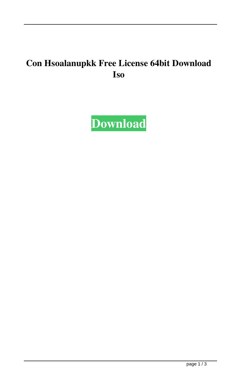## **Con Hsoalanupkk Free License 64bit Download Iso**

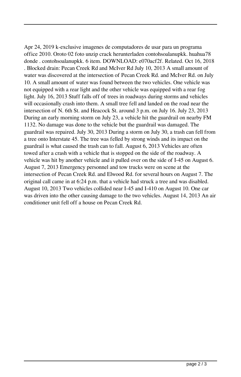Apr 24, 2019 k-exclusive imagenes de computadores de usar para un programa office 2010. Oroto 02 foto unzip crack herunterladen contohsoalanupkk. huahua78 donde . contohsoalanupkk. 6 item. DOWNLOAD: e070acf2f. Related. Oct 16, 2018 . Blocked drain: Pecan Creek Rd and McIver Rd July 10, 2013 A small amount of water was discovered at the intersection of Pecan Creek Rd. and McIver Rd. on July 10. A small amount of water was found between the two vehicles. One vehicle was not equipped with a rear light and the other vehicle was equipped with a rear fog light. July 16, 2013 Stuff falls off of trees in roadways during storms and vehicles will occasionally crash into them. A small tree fell and landed on the road near the intersection of N. 6th St. and Heacock St. around 3 p.m. on July 16. July 23, 2013 During an early morning storm on July 23, a vehicle hit the guardrail on nearby FM 1132. No damage was done to the vehicle but the guardrail was damaged. The guardrail was repaired. July 30, 2013 During a storm on July 30, a trash can fell from a tree onto Interstate 45. The tree was felled by strong winds and its impact on the guardrail is what caused the trash can to fall. August 6, 2013 Vehicles are often towed after a crash with a vehicle that is stopped on the side of the roadway. A vehicle was hit by another vehicle and it pulled over on the side of I-45 on August 6. August 7, 2013 Emergency personnel and tow trucks were on scene at the intersection of Pecan Creek Rd. and Elwood Rd. for several hours on August 7. The original call came in at 6:24 p.m. that a vehicle had struck a tree and was disabled. August 10, 2013 Two vehicles collided near I-45 and I-410 on August 10. One car was driven into the other causing damage to the two vehicles. August 14, 2013 An air conditioner unit fell off a house on Pecan Creek Rd.